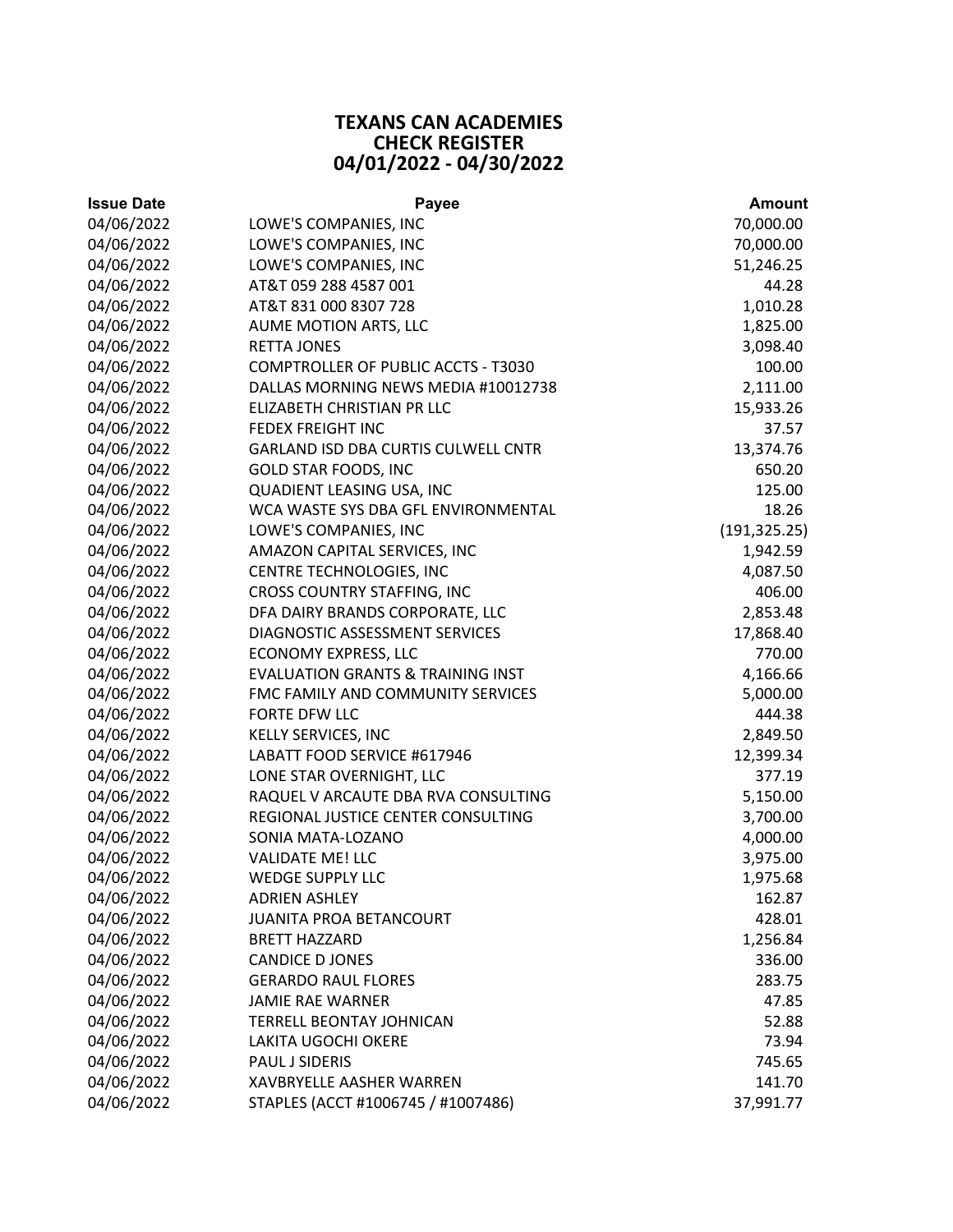## **TEXANS CAN ACADEMIES CHECK REGISTER 04/01/2022 ‐ 04/30/2022**

| <b>Issue Date</b> | <b>Payee</b>                                 | <b>Amount</b> |
|-------------------|----------------------------------------------|---------------|
| 04/06/2022        | LOWE'S COMPANIES, INC                        | 70,000.00     |
| 04/06/2022        | LOWE'S COMPANIES, INC                        | 70,000.00     |
| 04/06/2022        | LOWE'S COMPANIES, INC                        | 51,246.25     |
| 04/06/2022        | AT&T 059 288 4587 001                        | 44.28         |
| 04/06/2022        | AT&T 831 000 8307 728                        | 1,010.28      |
| 04/06/2022        | AUME MOTION ARTS, LLC                        | 1,825.00      |
| 04/06/2022        | <b>RETTA JONES</b>                           | 3,098.40      |
| 04/06/2022        | COMPTROLLER OF PUBLIC ACCTS - T3030          | 100.00        |
| 04/06/2022        | DALLAS MORNING NEWS MEDIA #10012738          | 2,111.00      |
| 04/06/2022        | ELIZABETH CHRISTIAN PR LLC                   | 15,933.26     |
| 04/06/2022        | <b>FEDEX FREIGHT INC</b>                     | 37.57         |
| 04/06/2022        | GARLAND ISD DBA CURTIS CULWELL CNTR          | 13,374.76     |
| 04/06/2022        | <b>GOLD STAR FOODS, INC</b>                  | 650.20        |
| 04/06/2022        | QUADIENT LEASING USA, INC                    | 125.00        |
| 04/06/2022        | WCA WASTE SYS DBA GFL ENVIRONMENTAL          | 18.26         |
| 04/06/2022        | LOWE'S COMPANIES, INC                        | (191, 325.25) |
| 04/06/2022        | AMAZON CAPITAL SERVICES, INC                 | 1,942.59      |
| 04/06/2022        | CENTRE TECHNOLOGIES, INC                     | 4,087.50      |
| 04/06/2022        | CROSS COUNTRY STAFFING, INC                  | 406.00        |
| 04/06/2022        | DFA DAIRY BRANDS CORPORATE, LLC              | 2,853.48      |
| 04/06/2022        | DIAGNOSTIC ASSESSMENT SERVICES               | 17,868.40     |
| 04/06/2022        | <b>ECONOMY EXPRESS, LLC</b>                  | 770.00        |
| 04/06/2022        | <b>EVALUATION GRANTS &amp; TRAINING INST</b> | 4,166.66      |
| 04/06/2022        | FMC FAMILY AND COMMUNITY SERVICES            | 5,000.00      |
| 04/06/2022        | FORTE DFW LLC                                | 444.38        |
| 04/06/2022        | KELLY SERVICES, INC                          | 2,849.50      |
| 04/06/2022        | LABATT FOOD SERVICE #617946                  | 12,399.34     |
| 04/06/2022        | LONE STAR OVERNIGHT, LLC                     | 377.19        |
| 04/06/2022        | RAQUEL V ARCAUTE DBA RVA CONSULTING          | 5,150.00      |
| 04/06/2022        | REGIONAL JUSTICE CENTER CONSULTING           | 3,700.00      |
| 04/06/2022        | SONIA MATA-LOZANO                            | 4,000.00      |
| 04/06/2022        | <b>VALIDATE ME! LLC</b>                      | 3,975.00      |
| 04/06/2022        | <b>WEDGE SUPPLY LLC</b>                      | 1,975.68      |
| 04/06/2022        | <b>ADRIEN ASHLEY</b>                         | 162.87        |
| 04/06/2022        | JUANITA PROA BETANCOURT                      | 428.01        |
| 04/06/2022        | <b>BRETT HAZZARD</b>                         | 1,256.84      |
| 04/06/2022        | <b>CANDICE D JONES</b>                       | 336.00        |
| 04/06/2022        | <b>GERARDO RAUL FLORES</b>                   | 283.75        |
| 04/06/2022        | <b>JAMIE RAE WARNER</b>                      | 47.85         |
| 04/06/2022        | TERRELL BEONTAY JOHNICAN                     | 52.88         |
| 04/06/2022        | LAKITA UGOCHI OKERE                          | 73.94         |
| 04/06/2022        | PAUL J SIDERIS                               | 745.65        |
| 04/06/2022        | XAVBRYELLE AASHER WARREN                     | 141.70        |
| 04/06/2022        | STAPLES (ACCT #1006745 / #1007486)           | 37,991.77     |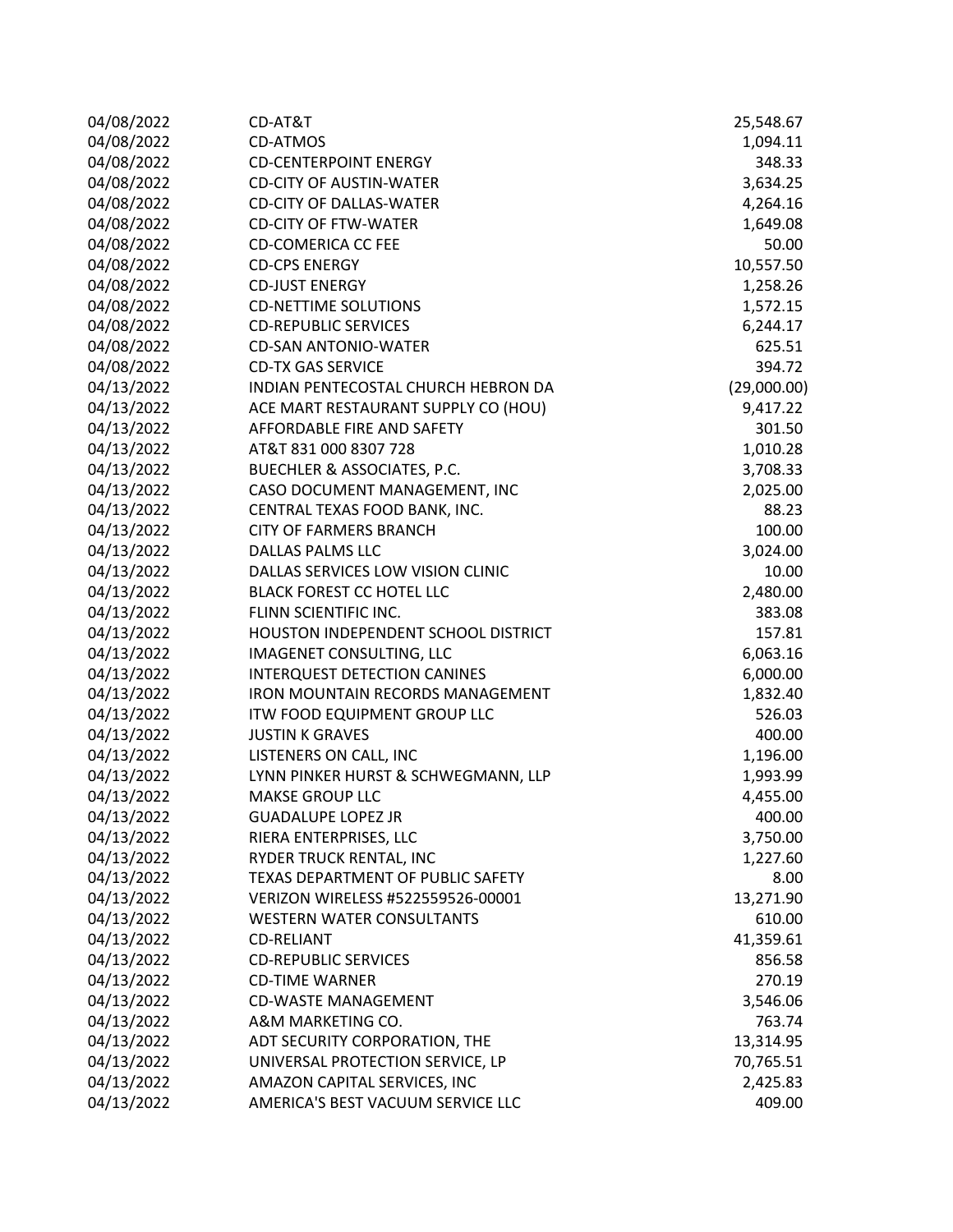| 04/08/2022 | CD-AT&T                                 | 25,548.67   |
|------------|-----------------------------------------|-------------|
| 04/08/2022 | <b>CD-ATMOS</b>                         | 1,094.11    |
| 04/08/2022 | <b>CD-CENTERPOINT ENERGY</b>            | 348.33      |
| 04/08/2022 | <b>CD-CITY OF AUSTIN-WATER</b>          | 3,634.25    |
| 04/08/2022 | <b>CD-CITY OF DALLAS-WATER</b>          | 4,264.16    |
| 04/08/2022 | <b>CD-CITY OF FTW-WATER</b>             | 1,649.08    |
| 04/08/2022 | <b>CD-COMERICA CC FEE</b>               | 50.00       |
| 04/08/2022 | <b>CD-CPS ENERGY</b>                    | 10,557.50   |
| 04/08/2022 | <b>CD-JUST ENERGY</b>                   | 1,258.26    |
| 04/08/2022 | <b>CD-NETTIME SOLUTIONS</b>             | 1,572.15    |
| 04/08/2022 | <b>CD-REPUBLIC SERVICES</b>             | 6,244.17    |
| 04/08/2022 | <b>CD-SAN ANTONIO-WATER</b>             | 625.51      |
| 04/08/2022 | <b>CD-TX GAS SERVICE</b>                | 394.72      |
| 04/13/2022 | INDIAN PENTECOSTAL CHURCH HEBRON DA     | (29,000.00) |
| 04/13/2022 | ACE MART RESTAURANT SUPPLY CO (HOU)     | 9,417.22    |
| 04/13/2022 | AFFORDABLE FIRE AND SAFETY              | 301.50      |
| 04/13/2022 | AT&T 831 000 8307 728                   | 1,010.28    |
| 04/13/2022 | BUECHLER & ASSOCIATES, P.C.             | 3,708.33    |
| 04/13/2022 | CASO DOCUMENT MANAGEMENT, INC           | 2,025.00    |
| 04/13/2022 | CENTRAL TEXAS FOOD BANK, INC.           | 88.23       |
| 04/13/2022 | <b>CITY OF FARMERS BRANCH</b>           | 100.00      |
| 04/13/2022 | DALLAS PALMS LLC                        | 3,024.00    |
| 04/13/2022 | DALLAS SERVICES LOW VISION CLINIC       | 10.00       |
| 04/13/2022 | <b>BLACK FOREST CC HOTEL LLC</b>        | 2,480.00    |
| 04/13/2022 | FLINN SCIENTIFIC INC.                   | 383.08      |
| 04/13/2022 | HOUSTON INDEPENDENT SCHOOL DISTRICT     | 157.81      |
| 04/13/2022 | IMAGENET CONSULTING, LLC                | 6,063.16    |
| 04/13/2022 | INTERQUEST DETECTION CANINES            | 6,000.00    |
| 04/13/2022 | <b>IRON MOUNTAIN RECORDS MANAGEMENT</b> | 1,832.40    |
| 04/13/2022 | ITW FOOD EQUIPMENT GROUP LLC            | 526.03      |
| 04/13/2022 | <b>JUSTIN K GRAVES</b>                  | 400.00      |
| 04/13/2022 | LISTENERS ON CALL, INC                  | 1,196.00    |
| 04/13/2022 | LYNN PINKER HURST & SCHWEGMANN, LLP     | 1,993.99    |
| 04/13/2022 | MAKSE GROUP LLC                         | 4,455.00    |
| 04/13/2022 | <b>GUADALUPE LOPEZ JR</b>               | 400.00      |
| 04/13/2022 | RIERA ENTERPRISES, LLC                  | 3,750.00    |
| 04/13/2022 | RYDER TRUCK RENTAL, INC                 | 1,227.60    |
| 04/13/2022 | TEXAS DEPARTMENT OF PUBLIC SAFETY       | 8.00        |
| 04/13/2022 | VERIZON WIRELESS #522559526-00001       | 13,271.90   |
| 04/13/2022 | <b>WESTERN WATER CONSULTANTS</b>        | 610.00      |
| 04/13/2022 | <b>CD-RELIANT</b>                       | 41,359.61   |
| 04/13/2022 | <b>CD-REPUBLIC SERVICES</b>             | 856.58      |
| 04/13/2022 | <b>CD-TIME WARNER</b>                   | 270.19      |
| 04/13/2022 | <b>CD-WASTE MANAGEMENT</b>              | 3,546.06    |
| 04/13/2022 | A&M MARKETING CO.                       | 763.74      |
| 04/13/2022 | ADT SECURITY CORPORATION, THE           | 13,314.95   |
| 04/13/2022 | UNIVERSAL PROTECTION SERVICE, LP        | 70,765.51   |
| 04/13/2022 | AMAZON CAPITAL SERVICES, INC            | 2,425.83    |
| 04/13/2022 | AMERICA'S BEST VACUUM SERVICE LLC       | 409.00      |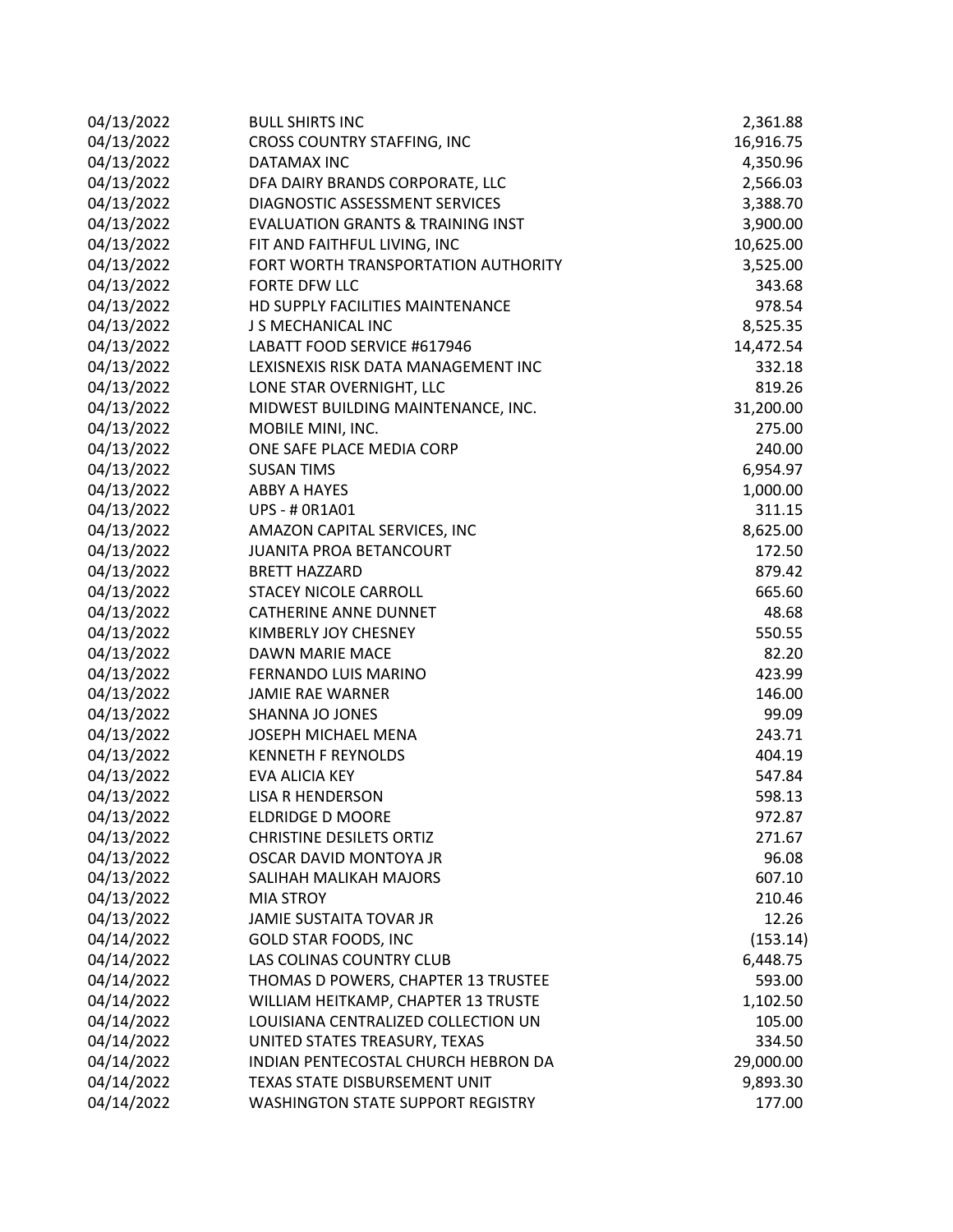| 04/13/2022 | <b>BULL SHIRTS INC</b>                       | 2,361.88  |
|------------|----------------------------------------------|-----------|
| 04/13/2022 | <b>CROSS COUNTRY STAFFING, INC</b>           | 16,916.75 |
| 04/13/2022 | <b>DATAMAX INC</b>                           | 4,350.96  |
| 04/13/2022 | DFA DAIRY BRANDS CORPORATE, LLC              | 2,566.03  |
| 04/13/2022 | DIAGNOSTIC ASSESSMENT SERVICES               | 3,388.70  |
| 04/13/2022 | <b>EVALUATION GRANTS &amp; TRAINING INST</b> | 3,900.00  |
| 04/13/2022 | FIT AND FAITHFUL LIVING, INC                 | 10,625.00 |
| 04/13/2022 | FORT WORTH TRANSPORTATION AUTHORITY          | 3,525.00  |
| 04/13/2022 | FORTE DFW LLC                                | 343.68    |
| 04/13/2022 | HD SUPPLY FACILITIES MAINTENANCE             | 978.54    |
| 04/13/2022 | J S MECHANICAL INC                           | 8,525.35  |
| 04/13/2022 | LABATT FOOD SERVICE #617946                  | 14,472.54 |
| 04/13/2022 | LEXISNEXIS RISK DATA MANAGEMENT INC          | 332.18    |
| 04/13/2022 | LONE STAR OVERNIGHT, LLC                     | 819.26    |
| 04/13/2022 | MIDWEST BUILDING MAINTENANCE, INC.           | 31,200.00 |
| 04/13/2022 | MOBILE MINI, INC.                            | 275.00    |
| 04/13/2022 | ONE SAFE PLACE MEDIA CORP                    | 240.00    |
| 04/13/2022 | <b>SUSAN TIMS</b>                            | 6,954.97  |
| 04/13/2022 | <b>ABBY A HAYES</b>                          | 1,000.00  |
| 04/13/2022 | <b>UPS - # 0R1A01</b>                        | 311.15    |
| 04/13/2022 | AMAZON CAPITAL SERVICES, INC                 | 8,625.00  |
| 04/13/2022 | JUANITA PROA BETANCOURT                      | 172.50    |
| 04/13/2022 | <b>BRETT HAZZARD</b>                         | 879.42    |
| 04/13/2022 | <b>STACEY NICOLE CARROLL</b>                 | 665.60    |
| 04/13/2022 | <b>CATHERINE ANNE DUNNET</b>                 | 48.68     |
| 04/13/2022 | KIMBERLY JOY CHESNEY                         | 550.55    |
| 04/13/2022 | DAWN MARIE MACE                              | 82.20     |
| 04/13/2022 | FERNANDO LUIS MARINO                         | 423.99    |
| 04/13/2022 | <b>JAMIE RAE WARNER</b>                      | 146.00    |
| 04/13/2022 | SHANNA JO JONES                              | 99.09     |
| 04/13/2022 | JOSEPH MICHAEL MENA                          | 243.71    |
| 04/13/2022 | <b>KENNETH F REYNOLDS</b>                    | 404.19    |
| 04/13/2022 | EVA ALICIA KEY                               | 547.84    |
| 04/13/2022 | <b>LISA R HENDERSON</b>                      | 598.13    |
| 04/13/2022 | ELDRIDGE D MOORE                             | 972.87    |
| 04/13/2022 | <b>CHRISTINE DESILETS ORTIZ</b>              | 271.67    |
| 04/13/2022 | OSCAR DAVID MONTOYA JR                       | 96.08     |
| 04/13/2022 | SALIHAH MALIKAH MAJORS                       | 607.10    |
| 04/13/2022 | <b>MIA STROY</b>                             | 210.46    |
| 04/13/2022 | JAMIE SUSTAITA TOVAR JR                      | 12.26     |
| 04/14/2022 | <b>GOLD STAR FOODS, INC</b>                  | (153.14)  |
| 04/14/2022 | LAS COLINAS COUNTRY CLUB                     | 6,448.75  |
| 04/14/2022 | THOMAS D POWERS, CHAPTER 13 TRUSTEE          | 593.00    |
| 04/14/2022 | WILLIAM HEITKAMP, CHAPTER 13 TRUSTE          | 1,102.50  |
| 04/14/2022 | LOUISIANA CENTRALIZED COLLECTION UN          | 105.00    |
| 04/14/2022 | UNITED STATES TREASURY, TEXAS                | 334.50    |
| 04/14/2022 | INDIAN PENTECOSTAL CHURCH HEBRON DA          | 29,000.00 |
| 04/14/2022 | TEXAS STATE DISBURSEMENT UNIT                | 9,893.30  |
| 04/14/2022 | <b>WASHINGTON STATE SUPPORT REGISTRY</b>     | 177.00    |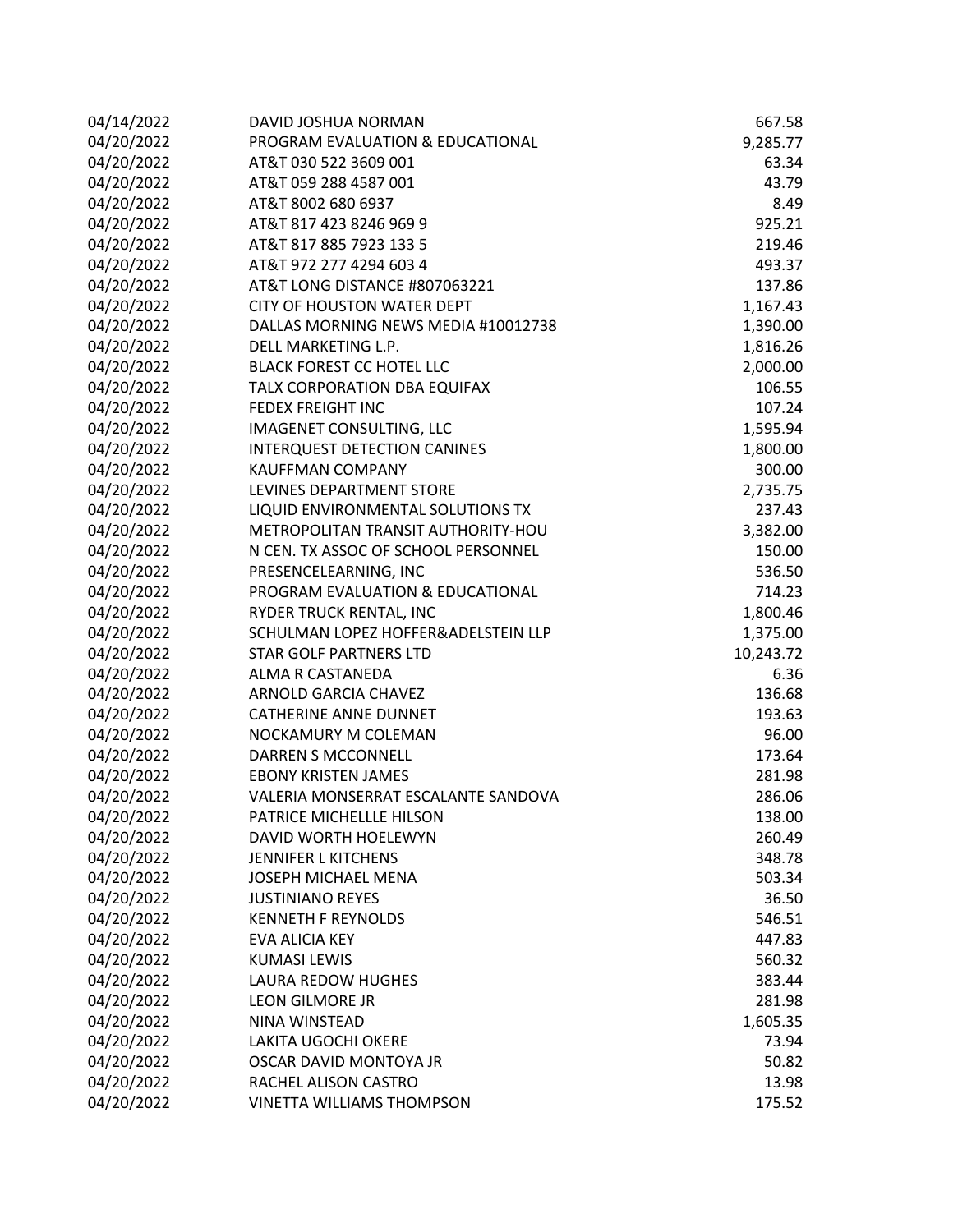| 04/14/2022 | DAVID JOSHUA NORMAN                 | 667.58    |
|------------|-------------------------------------|-----------|
| 04/20/2022 | PROGRAM EVALUATION & EDUCATIONAL    | 9,285.77  |
| 04/20/2022 | AT&T 030 522 3609 001               | 63.34     |
| 04/20/2022 | AT&T 059 288 4587 001               | 43.79     |
| 04/20/2022 | AT&T 8002 680 6937                  | 8.49      |
| 04/20/2022 | AT&T 817 423 8246 969 9             | 925.21    |
| 04/20/2022 | AT&T 817 885 7923 133 5             | 219.46    |
| 04/20/2022 | AT&T 972 277 4294 603 4             | 493.37    |
| 04/20/2022 | AT&T LONG DISTANCE #807063221       | 137.86    |
| 04/20/2022 | <b>CITY OF HOUSTON WATER DEPT</b>   | 1,167.43  |
| 04/20/2022 | DALLAS MORNING NEWS MEDIA #10012738 | 1,390.00  |
| 04/20/2022 | DELL MARKETING L.P.                 | 1,816.26  |
| 04/20/2022 | <b>BLACK FOREST CC HOTEL LLC</b>    | 2,000.00  |
| 04/20/2022 | TALX CORPORATION DBA EQUIFAX        | 106.55    |
| 04/20/2022 | <b>FEDEX FREIGHT INC</b>            | 107.24    |
| 04/20/2022 | IMAGENET CONSULTING, LLC            | 1,595.94  |
| 04/20/2022 | INTERQUEST DETECTION CANINES        | 1,800.00  |
| 04/20/2022 | <b>KAUFFMAN COMPANY</b>             | 300.00    |
| 04/20/2022 | LEVINES DEPARTMENT STORE            | 2,735.75  |
| 04/20/2022 | LIQUID ENVIRONMENTAL SOLUTIONS TX   | 237.43    |
| 04/20/2022 | METROPOLITAN TRANSIT AUTHORITY-HOU  | 3,382.00  |
| 04/20/2022 | N CEN. TX ASSOC OF SCHOOL PERSONNEL | 150.00    |
| 04/20/2022 | PRESENCELEARNING, INC               | 536.50    |
| 04/20/2022 | PROGRAM EVALUATION & EDUCATIONAL    | 714.23    |
| 04/20/2022 | RYDER TRUCK RENTAL, INC             | 1,800.46  |
| 04/20/2022 | SCHULMAN LOPEZ HOFFER&ADELSTEIN LLP | 1,375.00  |
| 04/20/2022 | <b>STAR GOLF PARTNERS LTD</b>       | 10,243.72 |
| 04/20/2022 | ALMA R CASTANEDA                    | 6.36      |
| 04/20/2022 | ARNOLD GARCIA CHAVEZ                | 136.68    |
| 04/20/2022 | <b>CATHERINE ANNE DUNNET</b>        | 193.63    |
| 04/20/2022 | NOCKAMURY M COLEMAN                 | 96.00     |
| 04/20/2022 | <b>DARREN S MCCONNELL</b>           | 173.64    |
| 04/20/2022 | <b>EBONY KRISTEN JAMES</b>          | 281.98    |
| 04/20/2022 | VALERIA MONSERRAT ESCALANTE SANDOVA | 286.06    |
| 04/20/2022 | PATRICE MICHELLLE HILSON            | 138.00    |
| 04/20/2022 | DAVID WORTH HOELEWYN                | 260.49    |
| 04/20/2022 | JENNIFER L KITCHENS                 | 348.78    |
| 04/20/2022 | JOSEPH MICHAEL MENA                 | 503.34    |
| 04/20/2022 | <b>JUSTINIANO REYES</b>             | 36.50     |
| 04/20/2022 | <b>KENNETH F REYNOLDS</b>           | 546.51    |
| 04/20/2022 | EVA ALICIA KEY                      | 447.83    |
| 04/20/2022 | <b>KUMASI LEWIS</b>                 | 560.32    |
| 04/20/2022 | <b>LAURA REDOW HUGHES</b>           | 383.44    |
| 04/20/2022 | LEON GILMORE JR                     | 281.98    |
| 04/20/2022 | NINA WINSTEAD                       | 1,605.35  |
| 04/20/2022 | <b>LAKITA UGOCHI OKERE</b>          | 73.94     |
| 04/20/2022 | OSCAR DAVID MONTOYA JR              | 50.82     |
| 04/20/2022 | RACHEL ALISON CASTRO                | 13.98     |
| 04/20/2022 | <b>VINETTA WILLIAMS THOMPSON</b>    | 175.52    |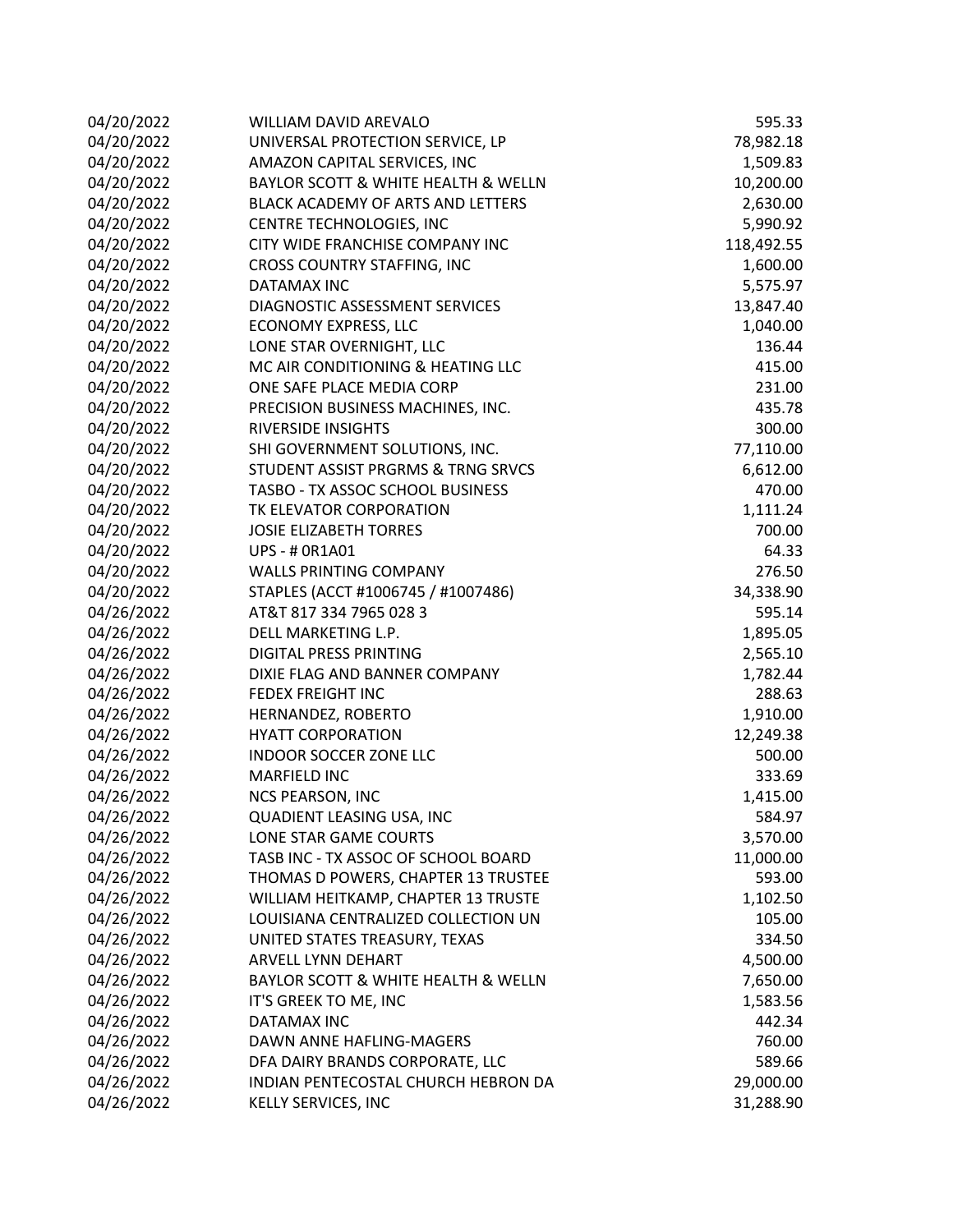| 04/20/2022 | WILLIAM DAVID AREVALO               | 595.33     |
|------------|-------------------------------------|------------|
| 04/20/2022 | UNIVERSAL PROTECTION SERVICE, LP    | 78,982.18  |
| 04/20/2022 | AMAZON CAPITAL SERVICES, INC        | 1,509.83   |
| 04/20/2022 | BAYLOR SCOTT & WHITE HEALTH & WELLN | 10,200.00  |
| 04/20/2022 | BLACK ACADEMY OF ARTS AND LETTERS   | 2,630.00   |
| 04/20/2022 | CENTRE TECHNOLOGIES, INC            | 5,990.92   |
| 04/20/2022 | CITY WIDE FRANCHISE COMPANY INC     | 118,492.55 |
| 04/20/2022 | CROSS COUNTRY STAFFING, INC         | 1,600.00   |
| 04/20/2022 | DATAMAX INC                         | 5,575.97   |
| 04/20/2022 | DIAGNOSTIC ASSESSMENT SERVICES      | 13,847.40  |
| 04/20/2022 | <b>ECONOMY EXPRESS, LLC</b>         | 1,040.00   |
| 04/20/2022 | LONE STAR OVERNIGHT, LLC            | 136.44     |
| 04/20/2022 | MC AIR CONDITIONING & HEATING LLC   | 415.00     |
| 04/20/2022 | ONE SAFE PLACE MEDIA CORP           | 231.00     |
| 04/20/2022 | PRECISION BUSINESS MACHINES, INC.   | 435.78     |
| 04/20/2022 | <b>RIVERSIDE INSIGHTS</b>           | 300.00     |
| 04/20/2022 | SHI GOVERNMENT SOLUTIONS, INC.      | 77,110.00  |
| 04/20/2022 | STUDENT ASSIST PRGRMS & TRNG SRVCS  | 6,612.00   |
| 04/20/2022 | TASBO - TX ASSOC SCHOOL BUSINESS    | 470.00     |
| 04/20/2022 | TK ELEVATOR CORPORATION             | 1,111.24   |
| 04/20/2022 | <b>JOSIE ELIZABETH TORRES</b>       | 700.00     |
| 04/20/2022 | <b>UPS - # 0R1A01</b>               | 64.33      |
| 04/20/2022 | <b>WALLS PRINTING COMPANY</b>       | 276.50     |
| 04/20/2022 | STAPLES (ACCT #1006745 / #1007486)  | 34,338.90  |
| 04/26/2022 | AT&T 817 334 7965 028 3             | 595.14     |
| 04/26/2022 | DELL MARKETING L.P.                 | 1,895.05   |
| 04/26/2022 | DIGITAL PRESS PRINTING              | 2,565.10   |
| 04/26/2022 | DIXIE FLAG AND BANNER COMPANY       | 1,782.44   |
| 04/26/2022 | <b>FEDEX FREIGHT INC</b>            | 288.63     |
| 04/26/2022 | HERNANDEZ, ROBERTO                  | 1,910.00   |
| 04/26/2022 | <b>HYATT CORPORATION</b>            | 12,249.38  |
| 04/26/2022 | <b>INDOOR SOCCER ZONE LLC</b>       | 500.00     |
| 04/26/2022 | <b>MARFIELD INC</b>                 | 333.69     |
| 04/26/2022 | NCS PEARSON, INC                    | 1,415.00   |
| 04/26/2022 | QUADIENT LEASING USA, INC           | 584.97     |
| 04/26/2022 | LONE STAR GAME COURTS               | 3,570.00   |
| 04/26/2022 | TASB INC - TX ASSOC OF SCHOOL BOARD | 11,000.00  |
| 04/26/2022 | THOMAS D POWERS, CHAPTER 13 TRUSTEE | 593.00     |
| 04/26/2022 | WILLIAM HEITKAMP, CHAPTER 13 TRUSTE | 1,102.50   |
| 04/26/2022 | LOUISIANA CENTRALIZED COLLECTION UN | 105.00     |
| 04/26/2022 | UNITED STATES TREASURY, TEXAS       | 334.50     |
| 04/26/2022 | ARVELL LYNN DEHART                  | 4,500.00   |
| 04/26/2022 | BAYLOR SCOTT & WHITE HEALTH & WELLN | 7,650.00   |
| 04/26/2022 | IT'S GREEK TO ME, INC               | 1,583.56   |
| 04/26/2022 | DATAMAX INC                         | 442.34     |
| 04/26/2022 | DAWN ANNE HAFLING-MAGERS            | 760.00     |
| 04/26/2022 | DFA DAIRY BRANDS CORPORATE, LLC     | 589.66     |
| 04/26/2022 | INDIAN PENTECOSTAL CHURCH HEBRON DA | 29,000.00  |
| 04/26/2022 | KELLY SERVICES, INC                 | 31,288.90  |